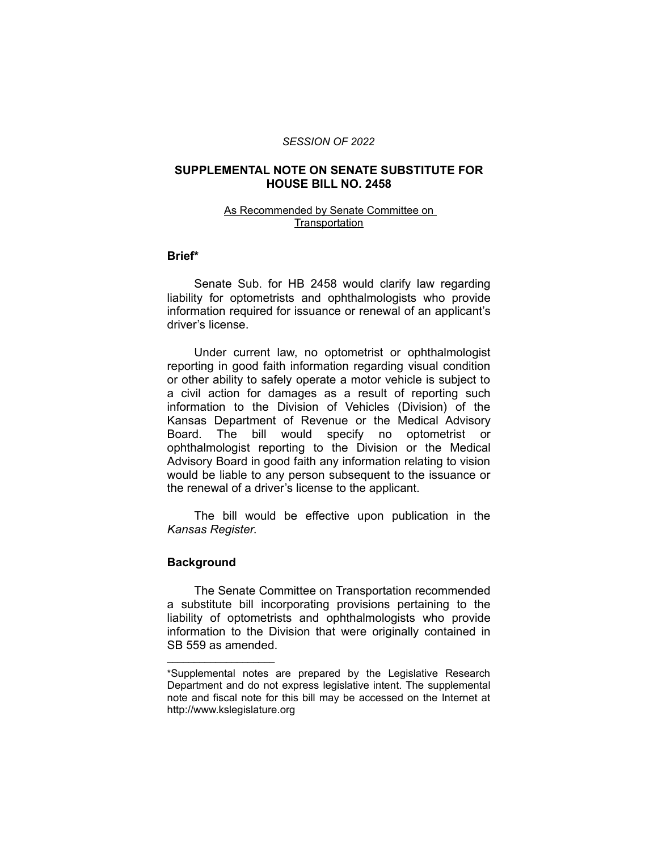#### *SESSION OF 2022*

## **SUPPLEMENTAL NOTE ON SENATE SUBSTITUTE FOR HOUSE BILL NO. 2458**

## As Recommended by Senate Committee on **Transportation**

#### **Brief\***

Senate Sub. for HB 2458 would clarify law regarding liability for optometrists and ophthalmologists who provide information required for issuance or renewal of an applicant's driver's license.

Under current law, no optometrist or ophthalmologist reporting in good faith information regarding visual condition or other ability to safely operate a motor vehicle is subject to a civil action for damages as a result of reporting such information to the Division of Vehicles (Division) of the Kansas Department of Revenue or the Medical Advisory Board. The bill would specify no optometrist or ophthalmologist reporting to the Division or the Medical Advisory Board in good faith any information relating to vision would be liable to any person subsequent to the issuance or the renewal of a driver's license to the applicant.

The bill would be effective upon publication in the *Kansas Register*.

## **Background**

 $\overline{\phantom{a}}$  , where  $\overline{\phantom{a}}$  , where  $\overline{\phantom{a}}$ 

The Senate Committee on Transportation recommended a substitute bill incorporating provisions pertaining to the liability of optometrists and ophthalmologists who provide information to the Division that were originally contained in SB 559 as amended.

<sup>\*</sup>Supplemental notes are prepared by the Legislative Research Department and do not express legislative intent. The supplemental note and fiscal note for this bill may be accessed on the Internet at http://www.kslegislature.org